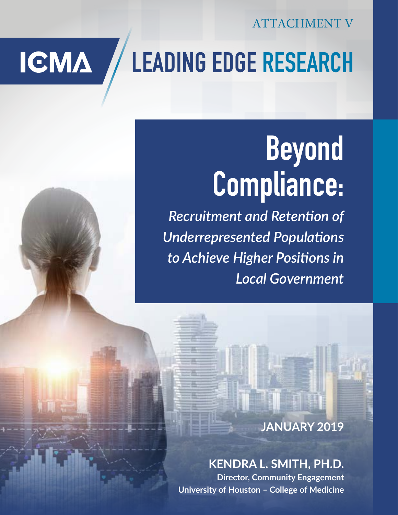ATTACHMENT V

## **LEADING EDGE RESEARCH IGMA**

# **Beyond Compliance:**

*Recruitment and Retention of Underrepresented Populations to Achieve Higher Positions in Local Government*

### **JANUARY 2019**

## **KENDRA L. SMITH, PH.D.**

**Director, Community Engagement University of Houston – College of Medicine**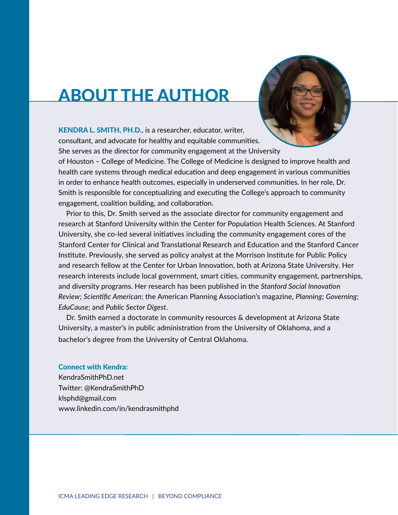## ABOUT THE AUTHOR



KENDRA L. SMITH, PH.D., is a researcher, educator, writer, consultant, and advocate for healthy and equitable communities. She serves as the director for community engagement at the University

of Houston – College of Medicine. The College of Medicine is designed to improve health and health care systems through medical education and deep engagement in various communities in order to enhance health outcomes, especially in underserved communities. In her role, Dr. Smith is responsible for conceptualizing and executing the College's approach to community engagement, coalition building, and collaboration.

Prior to this, Dr. Smith served as the associate director for community engagement and research at Stanford University within the Center for Population Health Sciences. At Stanford University, she co-led several initiatives including the community engagement cores of the Stanford Center for Clinical and Translational Research and Education and the Stanford Cancer Institute. Previously, she served as policy analyst at the Morrison Institute for Public Policy and research fellow at the Center for Urban Innovation, both at Arizona State University. Her research interests include local government, smart cities, community engagement, partnerships, and diversity programs. Her research has been published in the *Stanford Social Innovation Review*; *Scientific American*; the American Planning Association's magazine, *Planning*; *Governing*; *EduCause*; and *Public Sector Digest*.

Dr. Smith earned a doctorate in community resources & development at Arizona State University, a master's in public administration from the University of Oklahoma, and a bachelor's degree from the University of Central Oklahoma.

#### Connect with Kendra:

KendraSmithPhD.net Twitter: @KendraSmithPhD klsphd@gmail.com www.linkedin.com/in/kendrasmithphd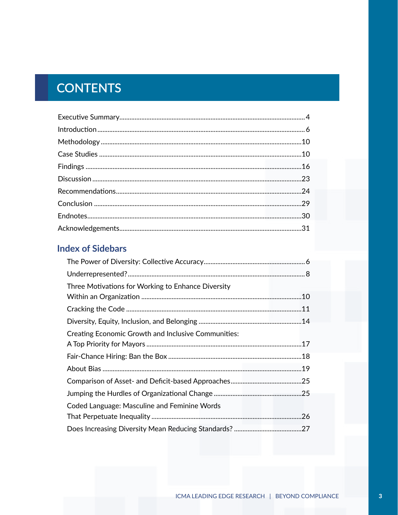## **CONTENTS**

#### **Index of Sidebars**

| Three Motivations for Working to Enhance Diversity         |  |
|------------------------------------------------------------|--|
|                                                            |  |
|                                                            |  |
|                                                            |  |
| <b>Creating Economic Growth and Inclusive Communities:</b> |  |
|                                                            |  |
|                                                            |  |
|                                                            |  |
|                                                            |  |
|                                                            |  |
| Coded Language: Masculine and Feminine Words               |  |
|                                                            |  |
|                                                            |  |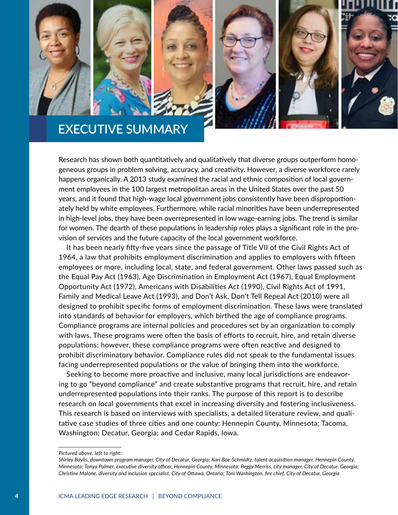







## **EXECUTIVE SUMMARY**

Research has shown both quantitatively and qualitatively that diverse groups outperform homogeneous groups in problem solving, accuracy, and creativity. However, a diverse workforce rarely happens organically. A 2013 study examined the racial and ethnic composition of local government employees in the 100 largest metropolitan areas in the United States over the past 50 years, and it found that high-wage local government jobs consistently have been disproportionately held by white employees. Furthermore, while racial minorities have been underrepresented in high-level jobs, they have been overrepresented in low wage-earning jobs. The trend is similar for women. The dearth of these populations in leadership roles plays a significant role in the provision of services and the future capacity of the local government workforce.

It has been nearly fifty-five years since the passage of Title VII of the Civil Rights Act of 1964, a law that prohibits employment discrimination and applies to employers with fifteen employees or more, including local, state, and federal government. Other laws passed such as the Equal Pay Act (1963), Age Discrimination in Employment Act (1967), Equal Employment Opportunity Act (1972), Americans with Disabilities Act (1990), Civil Rights Act of 1991, Family and Medical Leave Act (1993), and Don't Ask, Don't Tell Repeal Act (2010) were all designed to prohibit specific forms of employment discrimination. These laws were translated into standards of behavior for employers, which birthed the age of compliance programs. Compliance programs are internal policies and procedures set by an organization to comply with laws. These programs were often the basis of efforts to recruit, hire, and retain diverse populations; however, these compliance programs were often reactive and designed to prohibit discriminatory behavior. Compliance rules did not speak to the fundamental issues facing underrepresented populations or the value of bringing them into the workforce.

Seeking to become more proactive and inclusive, many local jurisdictions are endeavoring to go "beyond compliance" and create substantive programs that recruit, hire, and retain underrepresented populations into their ranks. The purpose of this report is to describe research on local governments that excel in increasing diversity and fostering inclusiveness. This research is based on interviews with specialists, a detailed literature review, and qualitative case studies of three cities and one county: Hennepin County, Minnesota; Tacoma, Washington; Decatur, Georgia; and Cedar Rapids, Iowa.

*Pictured above, left to right:*

*Shirley Baylis, downtown program manager, City of Decatur, Georgia; Kari Boe-Schmidtz, talent acquisition manager, Hennepin County, Minnesota; Tonya Palmer, executive diversity officer, Hennepin County, Minnesota; Peggy Merriss, city manager, City of Decatur, Georgia; Christine Malone, diversity and inclusion specialist, City of Ottawa, Ontario; Toni Washington, fire chief, City of Decatur, Georgia*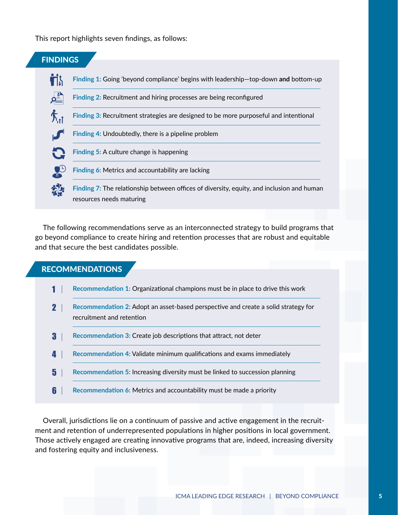This report highlights seven findings, as follows:



The following recommendations serve as an interconnected strategy to build programs that go beyond compliance to create hiring and retention processes that are robust and equitable and that secure the best candidates possible.

#### RECOMMENDATIONS

|   | Recommendation 1: Organizational champions must be in place to drive this work                                  |
|---|-----------------------------------------------------------------------------------------------------------------|
|   | Recommendation 2: Adopt an asset-based perspective and create a solid strategy for<br>recruitment and retention |
| 3 | <b>Recommendation 3: Create job descriptions that attract, not deter</b>                                        |
| Д | Recommendation 4: Validate minimum qualifications and exams immediately                                         |
| 5 | Recommendation 5: Increasing diversity must be linked to succession planning                                    |
|   | <b>Recommendation 6: Metrics and accountability must be made a priority</b>                                     |

Overall, jurisdictions lie on a continuum of passive and active engagement in the recruitment and retention of underrepresented populations in higher positions in local government. Those actively engaged are creating innovative programs that are, indeed, increasing diversity and fostering equity and inclusiveness.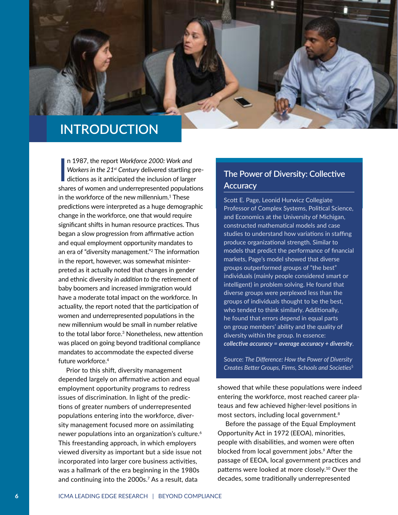

## **INTRODUCTION**

 $\overline{\phantom{a}}$ n 1987, the report *Workforce 2000: Work and Workers in the 21st Century* delivered startling predictions as it anticipated the inclusion of larger shares of women and underrepresented populations in the workforce of the new millennium. $^{\rm 1}$  These predictions were interpreted as a huge demographic change in the workforce, one that would require significant shifts in human resource practices. Thus began a slow progression from affirmative action and equal employment opportunity mandates to an era of "diversity management."<sup>2</sup> The information in the report, however, was somewhat misinterpreted as it actually noted that changes in gender and ethnic diversity *in addition to* the retirement of baby boomers and increased immigration would have a moderate total impact on the workforce. In actuality, the report noted that the participation of women and underrepresented populations in the new millennium would be small in number relative to the total labor force.<sup>3</sup> Nonetheless, new attention was placed on going beyond traditional compliance mandates to accommodate the expected diverse future workforce.<sup>4</sup>

Prior to this shift, diversity management depended largely on affirmative action and equal employment opportunity programs to redress issues of discrimination. In light of the predictions of greater numbers of underrepresented populations entering into the workforce, diversity management focused more on assimilating newer populations into an organization's culture.<sup>6</sup> This freestanding approach, in which employers viewed diversity as important but a side issue not incorporated into larger core business activities, was a hallmark of the era beginning in the 1980s and continuing into the 2000s.<sup>7</sup> As a result, data

#### **The Power of Diversity: Collective Accuracy**

Scott E. Page, Leonid Hurwicz Collegiate Professor of Complex Systems, Political Science, and Economics at the University of Michigan, constructed mathematical models and case studies to understand how variations in staffing produce organizational strength. Similar to models that predict the performance of financial markets, Page's model showed that diverse groups outperformed groups of "the best" individuals (mainly people considered smart or intelligent) in problem solving. He found that diverse groups were perplexed less than the groups of individuals thought to be the best, who tended to think similarly. Additionally, he found that errors depend in equal parts on group members' ability and the quality of diversity within the group. In essence: *collective accuracy = average accuracy + diversity*.

Source: *The Difference: How the Power of Diversity Creates Better Groups, Firms, Schools and Societies*<sup>5</sup>

showed that while these populations were indeed entering the workforce, most reached career plateaus and few achieved higher-level positions in most sectors, including local government.<sup>8</sup>

Before the passage of the Equal Employment Opportunity Act in 1972 (EEOA), minorities, people with disabilities, and women were often blocked from local government jobs.9 After the passage of EEOA, local government practices and patterns were looked at more closely.<sup>10</sup> Over the decades, some traditionally underrepresented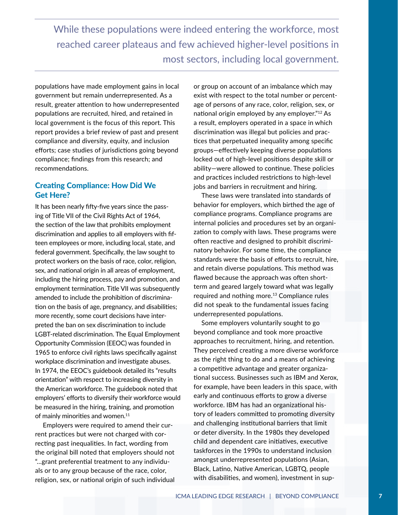While these populations were indeed entering the workforce, most reached career plateaus and few achieved higher-level positions in most sectors, including local government.

populations have made employment gains in local government but remain underrepresented. As a result, greater attention to how underrepresented populations are recruited, hired, and retained in local government is the focus of this report. This report provides a brief review of past and present compliance and diversity, equity, and inclusion efforts; case studies of jurisdictions going beyond compliance; findings from this research; and recommendations.

#### Creating Compliance: How Did We Get Here?

It has been nearly fifty-five years since the passing of Title VII of the Civil Rights Act of 1964, the section of the law that prohibits employment discrimination and applies to all employers with fifteen employees or more, including local, state, and federal government. Specifically, the law sought to protect workers on the basis of race, color, religion, sex, and national origin in all areas of employment, including the hiring process, pay and promotion, and employment termination. Title VII was subsequently amended to include the prohibition of discrimination on the basis of age, pregnancy, and disabilities; more recently, some court decisions have interpreted the ban on sex discrimination to include LGBT-related discrimination. The Equal Employment Opportunity Commission (EEOC) was founded in 1965 to enforce civil rights laws specifically against workplace discrimination and investigate abuses. In 1974, the EEOC's guidebook detailed its "results orientation" with respect to increasing diversity in the American workforce. The guidebook noted that employers' efforts to diversify their workforce would be measured in the hiring, training, and promotion of mainly minorities and women.<sup>11</sup>

Employers were required to amend their current practices but were not charged with correcting past inequalities. In fact, wording from the original bill noted that employers should not "…grant preferential treatment to any individuals or to any group because of the race, color, religion, sex, or national origin of such individual or group on account of an imbalance which may exist with respect to the total number or percentage of persons of any race, color, religion, sex, or national origin employed by any employer."12 As a result, employers operated in a space in which discrimination was illegal but policies and practices that perpetuated inequality among specific groups—effectively keeping diverse populations locked out of high-level positions despite skill or ability—were allowed to continue. These policies and practices included restrictions to high-level jobs and barriers in recruitment and hiring.

These laws were translated into standards of behavior for employers, which birthed the age of compliance programs. Compliance programs are internal policies and procedures set by an organization to comply with laws. These programs were often reactive and designed to prohibit discriminatory behavior. For some time, the compliance standards were the basis of efforts to recruit, hire, and retain diverse populations. This method was flawed because the approach was often shortterm and geared largely toward what was legally required and nothing more.<sup>13</sup> Compliance rules did not speak to the fundamental issues facing underrepresented populations.

Some employers voluntarily sought to go beyond compliance and took more proactive approaches to recruitment, hiring, and retention. They perceived creating a more diverse workforce as the right thing to do and a means of achieving a competitive advantage and greater organizational success. Businesses such as IBM and Xerox, for example, have been leaders in this space, with early and continuous efforts to grow a diverse workforce. IBM has had an organizational history of leaders committed to promoting diversity and challenging institutional barriers that limit or deter diversity. In the 1980s they developed child and dependent care initiatives, executive taskforces in the 1990s to understand inclusion amongst underrepresented populations (Asian, Black, Latino, Native American, LGBTQ, people with disabilities, and women), investment in sup-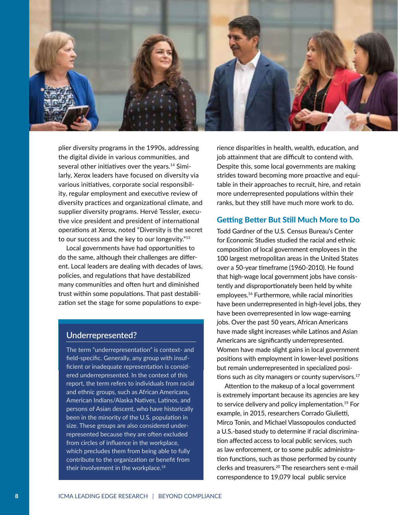

plier diversity programs in the 1990s, addressing the digital divide in various communities, and several other initiatives over the years.<sup>14</sup> Similarly, Xerox leaders have focused on diversity via various initiatives, corporate social responsibility, regular employment and executive review of diversity practices and organizational climate, and supplier diversity programs. Hervé Tessler, executive vice president and president of international operations at Xerox, noted "Diversity is the secret to our success and the key to our longevity."<sup>15</sup>

Local governments have had opportunities to do the same, although their challenges are different. Local leaders are dealing with decades of laws, policies, and regulations that have destabilized many communities and often hurt and diminished trust within some populations. That past destabilization set the stage for some populations to expe-

#### **Underrepresented?**

The term "underrepresentation" is context- and field-specific. Generally, any group with insufficient or inadequate representation is considered underrepresented. In the context of this report, the term refers to individuals from racial and ethnic groups, such as African Americans, American Indians/Alaska Natives, Latinos, and persons of Asian descent, who have historically been in the minority of the U.S. population in size. These groups are also considered underrepresented because they are often excluded from circles of influence in the workplace, which precludes them from being able to fully contribute to the organization or benefit from their involvement in the workplace.<sup>18</sup>

rience disparities in health, wealth, education, and job attainment that are difficult to contend with. Despite this, some local governments are making strides toward becoming more proactive and equitable in their approaches to recruit, hire, and retain more underrepresented populations within their ranks, but they still have much more work to do.

#### Getting Better But Still Much More to Do

Todd Gardner of the U.S. Census Bureau's Center for Economic Studies studied the racial and ethnic composition of local government employees in the 100 largest metropolitan areas in the United States over a 50-year timeframe (1960-2010). He found that high-wage local government jobs have consistently and disproportionately been held by white employees.16 Furthermore, while racial minorities have been underrepresented in high-level jobs, they have been overrepresented in low wage-earning jobs. Over the past 50 years, African Americans have made slight increases while Latinos and Asian Americans are significantly underrepresented. Women have made slight gains in local government positions with employment in lower-level positions but remain underrepresented in specialized positions such as city managers or county supervisors.<sup>17</sup>

Attention to the makeup of a local government is extremely important because its agencies are key to service delivery and policy implementation.<sup>19</sup> For example, in 2015, researchers Corrado Giulietti, Mirco Tonin, and Michael Vlassopoulos conducted a U.S.-based study to determine if racial discrimination affected access to local public services, such as law enforcement, or to some public administration functions, such as those performed by county clerks and treasurers.20 The researchers sent e-mail correspondence to 19,079 local public service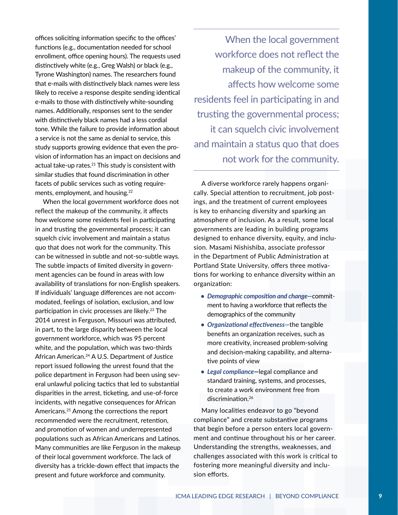offices soliciting information specific to the offices' functions (e.g., documentation needed for school enrollment, office opening hours). The requests used distinctively white (e.g., Greg Walsh) or black (e.g., Tyrone Washington) names. The researchers found that e-mails with distinctively black names were less likely to receive a response despite sending identical e-mails to those with distinctively white-sounding names. Additionally, responses sent to the sender with distinctively black names had a less cordial tone. While the failure to provide information about a service is not the same as denial to service, this study supports growing evidence that even the provision of information has an impact on decisions and actual take-up rates.<sup>21</sup> This study is consistent with similar studies that found discrimination in other facets of public services such as voting requirements, employment, and housing.<sup>22</sup>

When the local government workforce does not reflect the makeup of the community, it affects how welcome some residents feel in participating in and trusting the governmental process; it can squelch civic involvement and maintain a status quo that does not work for the community. This can be witnessed in subtle and not-so-subtle ways. The subtle impacts of limited diversity in government agencies can be found in areas with low availability of translations for non-English speakers. If individuals' language differences are not accommodated, feelings of isolation, exclusion, and low participation in civic processes are likely.<sup>23</sup> The 2014 unrest in Ferguson, Missouri was attributed, in part, to the large disparity between the local government workforce, which was 95 percent white, and the population, which was two-thirds African American.<sup>24</sup> A U.S. Department of Justice report issued following the unrest found that the police department in Ferguson had been using several unlawful policing tactics that led to substantial disparities in the arrest, ticketing, and use-of-force incidents, with negative consequences for African Americans.25 Among the corrections the report recommended were the recruitment, retention, and promotion of women and underrepresented populations such as African Americans and Latinos. Many communities are like Ferguson in the makeup of their local government workforce. The lack of diversity has a trickle-down effect that impacts the present and future workforce and community.

When the local government workforce does not reflect the makeup of the community, it affects how welcome some residents feel in participating in and trusting the governmental process; it can squelch civic involvement and maintain a status quo that does not work for the community.

A diverse workforce rarely happens organically. Special attention to recruitment, job postings, and the treatment of current employees is key to enhancing diversity and sparking an atmosphere of inclusion. As a result, some local governments are leading in building programs designed to enhance diversity, equity, and inclusion. Masami Nishishiba, associate professor in the Department of Public Administration at Portland State University, offers three motivations for working to enhance diversity within an organization:

- *• Demographic composition and change—*commitment to having a workforce that reflects the demographics of the community
- *• Organizational effectiveness—*the tangible benefits an organization receives, such as more creativity, increased problem-solving and decision-making capability, and alternative points of view
- *• Legal compliance—*legal compliance and standard training, systems, and processes, to create a work environment free from discrimination.<sup>26</sup>

Many localities endeavor to go "beyond compliance" and create substantive programs that begin before a person enters local government and continue throughout his or her career. Understanding the strengths, weaknesses, and challenges associated with this work is critical to fostering more meaningful diversity and inclusion efforts.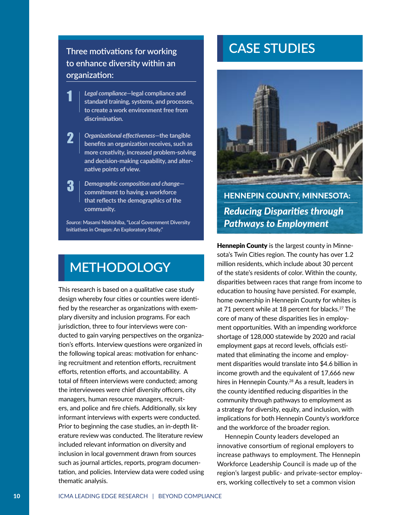#### **Three motivations for working to enhance diversity within an organization:**

1

3

- *Legal compliance—***legal compliance and standard training, systems, and processes, to create a work environment free from discrimination.**
- *Organizational effectiveness—***the tangible benefits an organization receives, such as more creativity, increased problem-solving and decision-making capability, and alternative points of view.** 2

*Demographic composition and change* **commitment to having a workforce that reflects the demographics of the community.**

*Source:* **Masami Nishishiba, "Local Government Diversity Initiatives in Oregon: An Exploratory Study."**

## **METHODOLOGY**

This research is based on a qualitative case study design whereby four cities or counties were identified by the researcher as organizations with exemplary diversity and inclusion programs. For each jurisdiction, three to four interviews were conducted to gain varying perspectives on the organization's efforts. Interview questions were organized in the following topical areas: motivation for enhancing recruitment and retention efforts, recruitment efforts, retention efforts, and accountability. A total of fifteen interviews were conducted; among the interviewees were chief diversity officers, city managers, human resource managers, recruiters, and police and fire chiefs. Additionally, six key informant interviews with experts were conducted. Prior to beginning the case studies, an in-depth literature review was conducted. The literature review included relevant information on diversity and inclusion in local government drawn from sources such as journal articles, reports, program documentation, and policies. Interview data were coded using thematic analysis.

## **CASE STUDIES**



HENNEPIN COUNTY, MINNESOTA: *Reducing Disparities through Pathways to Employment*

**Hennepin County** is the largest county in Minnesota's Twin Cities region. The county has over 1.2 million residents, which include about 30 percent of the state's residents of color. Within the county, disparities between races that range from income to education to housing have persisted. For example, home ownership in Hennepin County for whites is at 71 percent while at 18 percent for blacks.<sup>27</sup> The core of many of these disparities lies in employment opportunities. With an impending workforce shortage of 128,000 statewide by 2020 and racial employment gaps at record levels, officials estimated that eliminating the income and employment disparities would translate into \$4.6 billion in income growth and the equivalent of 17,666 new hires in Hennepin County.28 As a result, leaders in the county identified reducing disparities in the community through pathways to employment as a strategy for diversity, equity, and inclusion, with implications for both Hennepin County's workforce and the workforce of the broader region.

Hennepin County leaders developed an innovative consortium of regional employers to increase pathways to employment. The Hennepin Workforce Leadership Council is made up of the region's largest public- and private-sector employers, working collectively to set a common vision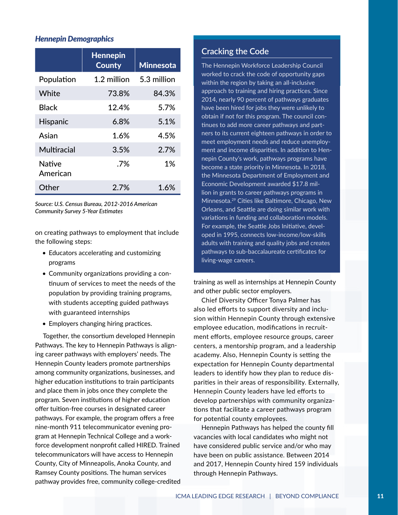#### *Hennepin Demographics*

|                           | <b>Hennepin</b><br><b>County</b> | <b>Minnesota</b> |
|---------------------------|----------------------------------|------------------|
| Population                | 1.2 million                      | 5.3 million      |
| White                     | 73.8%                            | 84.3%            |
| Black                     | 12.4%                            | 5.7%             |
| <b>Hispanic</b>           | 6.8%                             | 5.1%             |
| Asian                     | 1.6%                             | 4.5%             |
| Multiracial               | 3.5%                             | $2.7\%$          |
| <b>Native</b><br>American | .7%                              | 1%               |
| Other                     | 2.7%                             | 1.6%             |

*Source: U.S. Census Bureau, 2012-2016 American Community Survey 5-Year Estimates*

on creating pathways to employment that include the following steps:

- Educators accelerating and customizing programs
- Community organizations providing a continuum of services to meet the needs of the population by providing training programs, with students accepting guided pathways with guaranteed internships
- Employers changing hiring practices.

Together, the consortium developed Hennepin Pathways. The key to Hennepin Pathways is aligning career pathways with employers' needs. The Hennepin County leaders promote partnerships among community organizations, businesses, and higher education institutions to train participants and place them in jobs once they complete the program. Seven institutions of higher education offer tuition-free courses in designated career pathways. For example, the program offers a free nine-month 911 telecommunicator evening program at Hennepin Technical College and a workforce development nonprofit called HIRED. Trained telecommunicators will have access to Hennepin County, City of Minneapolis, Anoka County, and Ramsey County positions. The human services pathway provides free, community college-credited

#### **Cracking the Code**

The Hennepin Workforce Leadership Council worked to crack the code of opportunity gaps within the region by taking an all-inclusive approach to training and hiring practices. Since 2014, nearly 90 percent of pathways graduates have been hired for jobs they were unlikely to obtain if not for this program. The council continues to add more career pathways and partners to its current eighteen pathways in order to meet employment needs and reduce unemployment and income disparities. In addition to Hennepin County's work, pathways programs have become a state priority in Minnesota. In 2018, the Minnesota Department of Employment and Economic Development awarded \$17.8 million in grants to career pathways programs in Minnesota.29 Cities like Baltimore, Chicago, New Orleans, and Seattle are doing similar work with variations in funding and collaboration models. For example, the Seattle Jobs Initiative, developed in 1995, connects low-income/low-skills adults with training and quality jobs and creates pathways to sub-baccalaureate certificates for living-wage careers.

training as well as internships at Hennepin County and other public sector employers.

Chief Diversity Officer Tonya Palmer has also led efforts to support diversity and inclusion within Hennepin County through extensive employee education, modifications in recruitment efforts, employee resource groups, career centers, a mentorship program, and a leadership academy. Also, Hennepin County is setting the expectation for Hennepin County departmental leaders to identify how they plan to reduce disparities in their areas of responsibility. Externally, Hennepin County leaders have led efforts to develop partnerships with community organizations that facilitate a career pathways program for potential county employees.

Hennepin Pathways has helped the county fill vacancies with local candidates who might not have considered public service and/or who may have been on public assistance. Between 2014 and 2017, Hennepin County hired 159 individuals through Hennepin Pathways.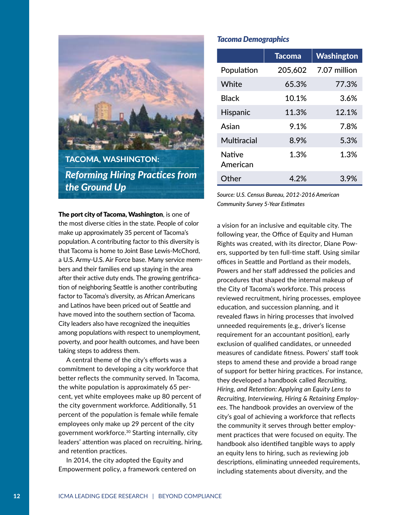

TACOMA, WASHINGTON: *Reforming Hiring Practices from the Ground Up*

The port city of Tacoma, Washington, is one of the most diverse cities in the state. People of color make up approximately 35 percent of Tacoma's population. A contributing factor to this diversity is that Tacoma is home to Joint Base Lewis-McChord, a U.S. Army-U.S. Air Force base. Many service members and their families end up staying in the area after their active duty ends. The growing gentrification of neighboring Seattle is another contributing factor to Tacoma's diversity, as African Americans and Latinos have been priced out of Seattle and have moved into the southern section of Tacoma. City leaders also have recognized the inequities among populations with respect to unemployment, poverty, and poor health outcomes, and have been taking steps to address them.

A central theme of the city's efforts was a commitment to developing a city workforce that better reflects the community served. In Tacoma, the white population is approximately 65 percent, yet white employees make up 80 percent of the city government workforce. Additionally, 51 percent of the population is female while female employees only make up 29 percent of the city government workforce.<sup>30</sup> Starting internally, city leaders' attention was placed on recruiting, hiring, and retention practices.

In 2014, the city adopted the Equity and Empowerment policy, a framework centered on

#### *Tacoma Demographics*

|                           | <b>Tacoma</b> | Washington   |
|---------------------------|---------------|--------------|
| Population                | 205,602       | 7.07 million |
| White                     | 65.3%         | 77.3%        |
| <b>Black</b>              | 10.1%         | 3.6%         |
| <b>Hispanic</b>           | 11.3%         | 12.1%        |
| Asian                     | 9.1%          | 7.8%         |
| Multiracial               | 8.9%          | 5.3%         |
| <b>Native</b><br>American | 1.3%          | 1.3%         |
| Other                     | 4.2%          | 3.9%         |

*Source: U.S. Census Bureau, 2012-2016 American Community Survey 5-Year Estimates*

a vision for an inclusive and equitable city. The following year, the Office of Equity and Human Rights was created, with its director, Diane Powers, supported by ten full-time staff. Using similar offices in Seattle and Portland as their models, Powers and her staff addressed the policies and procedures that shaped the internal makeup of the City of Tacoma's workforce. This process reviewed recruitment, hiring processes, employee education, and succession planning, and it revealed flaws in hiring processes that involved unneeded requirements (e.g., driver's license requirement for an accountant position), early exclusion of qualified candidates, or unneeded measures of candidate fitness. Powers' staff took steps to amend these and provide a broad range of support for better hiring practices. For instance, they developed a handbook called *Recruiting, Hiring, and Retention: Applying an Equity Lens to Recruiting, Interviewing, Hiring & Retaining Employees*. The handbook provides an overview of the city's goal of achieving a workforce that reflects the community it serves through better employment practices that were focused on equity. The handbook also identified tangible ways to apply an equity lens to hiring, such as reviewing job descriptions, eliminating unneeded requirements, including statements about diversity, and the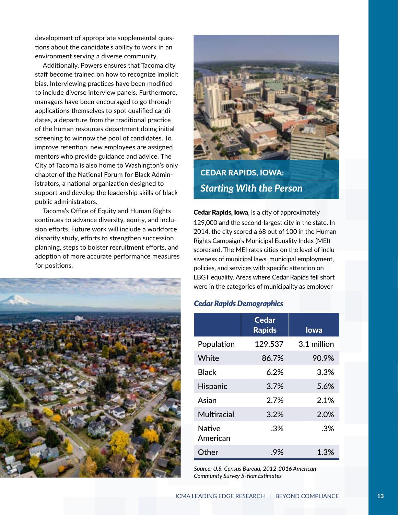development of appropriate supplemental questions about the candidate's ability to work in an environment serving a diverse community.

Additionally, Powers ensures that Tacoma city staff become trained on how to recognize implicit bias. Interviewing practices have been modified to include diverse interview panels. Furthermore, managers have been encouraged to go through applications themselves to spot qualified candidates, a departure from the traditional practice of the human resources department doing initial screening to winnow the pool of candidates. To improve retention, new employees are assigned mentors who provide guidance and advice. The City of Tacoma is also home to Washington's only chapter of the National Forum for Black Administrators, a national organization designed to support and develop the leadership skills of black public administrators.

Tacoma's Office of Equity and Human Rights continues to advance diversity, equity, and inclusion efforts. Future work will include a workforce disparity study, efforts to strengthen succession planning, steps to bolster recruitment efforts, and adoption of more accurate performance measures for positions.





CEDAR RAPIDS, IOWA: *Starting With the Person*

**Cedar Rapids, Iowa, is a city of approximately** 129,000 and the second-largest city in the state. In 2014, the city scored a 68 out of 100 in the Human Rights Campaign's Municipal Equality Index (MEI) scorecard. The MEI rates cities on the level of inclusiveness of municipal laws, municipal employment, policies, and services with specific attention on LBGT equality. Areas where Cedar Rapids fell short were in the categories of municipality as employer

#### *Cedar Rapids Demographics*

|                           | <b>Cedar</b><br><b>Rapids</b> | lowa        |
|---------------------------|-------------------------------|-------------|
| Population                | 129,537                       | 3.1 million |
| White                     | 86.7%                         | 90.9%       |
| <b>Black</b>              | 6.2%                          | 3.3%        |
| <b>Hispanic</b>           | 3.7%                          | 5.6%        |
| Asian                     | 2.7%                          | 2.1%        |
| Multiracial               | 3.2%                          | 2.0%        |
| <b>Native</b><br>American | .3%                           | .3%         |
| Other                     | .9%                           | 1.3%        |

*Source: U.S. Census Bureau, 2012-2016 American Community Survey 5-Year Estimates*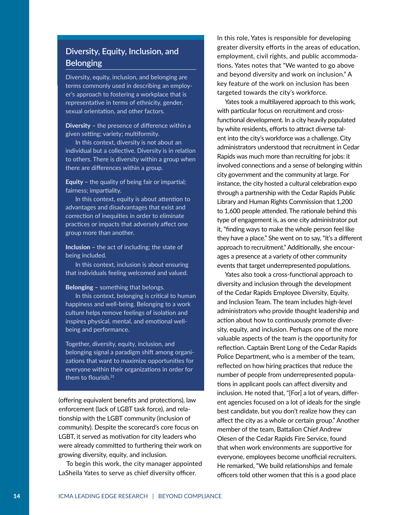#### **Diversity, Equity, Inclusion, and Belonging**

Diversity, equity, inclusion, and belonging are terms commonly used in describing an employer's approach to fostering a workplace that is representative in terms of ethnicity, gender, sexual orientation, and other factors.

Diversity **–** the presence of difference within a given setting; variety; multiformity.

In this context, diversity is not about an individual but a collective. Diversity is in relation to others. There is diversity within a group when there are differences within a group.

Equity **–** the quality of being fair or impartial; fairness; impartiality.

In this context, equity is about attention to advantages and disadvantages that exist and correction of inequities in order to eliminate practices or impacts that adversely affect one group more than another.

Inclusion **–** the act of including; the state of being included.

In this context, inclusion is about ensuring that individuals feeling welcomed and valued.

Belonging **–** something that belongs.

In this context, belonging is critical to human happiness and well-being. Belonging to a work culture helps remove feelings of isolation and inspires physical, mental, and emotional wellbeing and performance.

Together, diversity, equity, inclusion, and belonging signal a paradigm shift among organizations that want to maximize opportunities for everyone within their organizations in order for them to flourish.31

(offering equivalent benefits and protections), law enforcement (lack of LGBT task force), and relationship with the LGBT community (inclusion of community). Despite the scorecard's core focus on LGBT, it served as motivation for city leaders who were already committed to furthering their work on growing diversity, equity, and inclusion.

To begin this work, the city manager appointed LaSheila Yates to serve as chief diversity officer.

In this role, Yates is responsible for developing greater diversity efforts in the areas of education, employment, civil rights, and public accommodations. Yates notes that "We wanted to go above and beyond diversity and work on inclusion." A key feature of the work on inclusion has been targeted towards the city's workforce.

Yates took a multilayered approach to this work, with particular focus on recruitment and crossfunctional development. In a city heavily populated by white residents, efforts to attract diverse talent into the city's workforce was a challenge. City administrators understood that recruitment in Cedar Rapids was much more than recruiting for jobs: it involved connections and a sense of belonging within city government and the community at large. For instance, the city hosted a cultural celebration expo through a partnership with the Cedar Rapids Public Library and Human Rights Commission that 1,200 to 1,600 people attended. The rationale behind this type of engagement is, as one city administrator put it, "finding ways to make the whole person feel like they have a place." She went on to say, "It's a different approach to recruitment." Additionally, she encourages a presence at a variety of other community events that target underrepresented populations.

Yates also took a cross-functional approach to diversity and inclusion through the development of the Cedar Rapids Employee Diversity, Equity, and Inclusion Team. The team includes high-level administrators who provide thought leadership and action about how to continuously promote diversity, equity, and inclusion. Perhaps one of the more valuable aspects of the team is the opportunity for reflection. Captain Brent Long of the Cedar Rapids Police Department, who is a member of the team, reflected on how hiring practices that reduce the number of people from underrepresented populations in applicant pools can affect diversity and inclusion. He noted that, "[For] a lot of years, different agencies focused on a lot of ideals for the single best candidate, but you don't realize how they can affect the city as a whole or certain group." Another member of the team, Battalion Chief Andrew Olesen of the Cedar Rapids Fire Service, found that when work environments are supportive for everyone, employees become unofficial recruiters. He remarked, "We build relationships and female officers told other women that this is a good place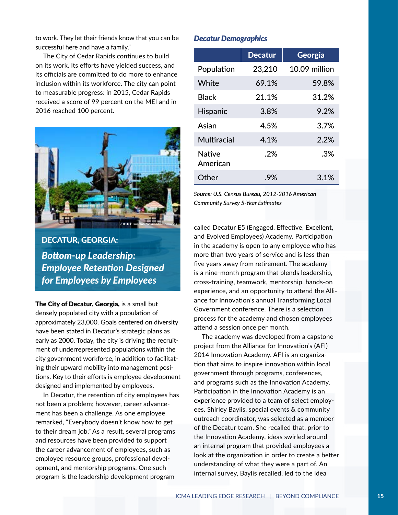to work. They let their friends know that you can be successful here and have a family."

The City of Cedar Rapids continues to build on its work. Its efforts have yielded success, and its officials are committed to do more to enhance inclusion within its workforce. The city can point to measurable progress: in 2015, Cedar Rapids received a score of 99 percent on the MEI and in 2016 reached 100 percent.



DECATUR, GEORGIA: *Bottom-up Leadership: Employee Retention Designed for Employees by Employees*

The City of Decatur, Georgia, is a small but densely populated city with a population of approximately 23,000. Goals centered on diversity have been stated in Decatur's strategic plans as early as 2000. Today, the city is driving the recruitment of underrepresented populations within the city government workforce, in addition to facilitating their upward mobility into management positions. Key to their efforts is employee development designed and implemented by employees.

In Decatur, the retention of city employees has not been a problem; however, career advancement has been a challenge. As one employee remarked, "Everybody doesn't know how to get to their dream job." As a result, several programs and resources have been provided to support the career advancement of employees, such as employee resource groups, professional development, and mentorship programs. One such program is the leadership development program

#### *Decatur Demographics*

|                    | <b>Decatur</b> | Georgia       |
|--------------------|----------------|---------------|
| Population         | 23,210         | 10.09 million |
| White              | 69.1%          | 59.8%         |
| <b>Black</b>       | 21.1%          | 31.2%         |
| <b>Hispanic</b>    | 3.8%           | 9.2%          |
| Asian              | 4.5%           | 3.7%          |
| Multiracial        | 4.1%           | 2.2%          |
| Native<br>American | $.2\%$         | .3%           |
| Other              | .9%            | 3.1%          |

*Source: U.S. Census Bureau, 2012-2016 American Community Survey 5-Year Estimates*

called Decatur E5 (Engaged, Effective, Excellent, and Evolved Employees) Academy. Participation in the academy is open to any employee who has more than two years of service and is less than five years away from retirement. The academy is a nine-month program that blends leadership, cross-training, teamwork, mentorship, hands-on experience, and an opportunity to attend the Alliance for Innovation's annual Transforming Local Government conference. There is a selection process for the academy and chosen employees attend a session once per month.

The academy was developed from a capstone project from the Alliance for Innovation's (AFI) 2014 Innovation Academy. AFI is an organization that aims to inspire innovation within local government through programs, conferences, and programs such as the Innovation Academy. Participation in the Innovation Academy is an experience provided to a team of select employees. Shirley Baylis, special events & community outreach coordinator, was selected as a member of the Decatur team. She recalled that, prior to the Innovation Academy, ideas swirled around an internal program that provided employees a look at the organization in order to create a better understanding of what they were a part of. An internal survey, Baylis recalled, led to the idea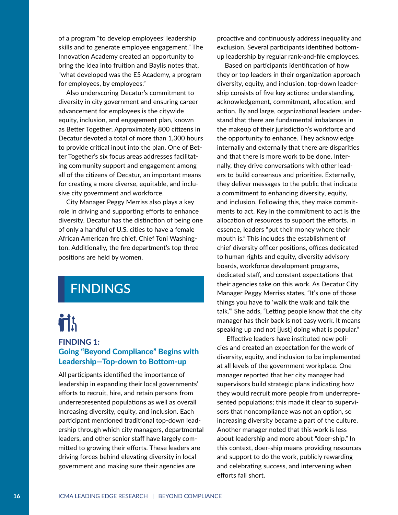of a program "to develop employees' leadership skills and to generate employee engagement." The Innovation Academy created an opportunity to bring the idea into fruition and Baylis notes that, "what developed was the E5 Academy, a program for employees, by employees."

Also underscoring Decatur's commitment to diversity in city government and ensuring career advancement for employees is the citywide equity, inclusion, and engagement plan, known as Better Together. Approximately 800 citizens in Decatur devoted a total of more than 1,300 hours to provide critical input into the plan. One of Better Together's six focus areas addresses facilitating community support and engagement among all of the citizens of Decatur, an important means for creating a more diverse, equitable, and inclusive city government and workforce.

City Manager Peggy Merriss also plays a key role in driving and supporting efforts to enhance diversity. Decatur has the distinction of being one of only a handful of U.S. cities to have a female African American fire chief, Chief Toni Washington. Additionally, the fire department's top three positions are held by women.

## **FINDINGS**

# itis.

#### FINDING 1: Going "Beyond Compliance" Begins with Leadership—Top-down to Bottom-up

All participants identified the importance of leadership in expanding their local governments' efforts to recruit, hire, and retain persons from underrepresented populations as well as overall increasing diversity, equity, and inclusion. Each participant mentioned traditional top-down leadership through which city managers, departmental leaders, and other senior staff have largely committed to growing their efforts. These leaders are driving forces behind elevating diversity in local government and making sure their agencies are

proactive and continuously address inequality and exclusion. Several participants identified bottomup leadership by regular rank-and-file employees.

Based on participants identification of how they or top leaders in their organization approach diversity, equity, and inclusion, top-down leadership consists of five key actions: understanding, acknowledgement, commitment, allocation, and action. By and large, organizational leaders understand that there are fundamental imbalances in the makeup of their jurisdiction's workforce and the opportunity to enhance. They acknowledge internally and externally that there are disparities and that there is more work to be done. Internally, they drive conversations with other leaders to build consensus and prioritize. Externally, they deliver messages to the public that indicate a commitment to enhancing diversity, equity, and inclusion. Following this, they make commitments to act. Key in the commitment to act is the allocation of resources to support the efforts. In essence, leaders "put their money where their mouth is." This includes the establishment of chief diversity officer positions, offices dedicated to human rights and equity, diversity advisory boards, workforce development programs, dedicated staff, and constant expectations that their agencies take on this work. As Decatur City Manager Peggy Merriss states, "It's one of those things you have to 'walk the walk and talk the talk.'" She adds, "Letting people know that the city manager has their back is not easy work. It means speaking up and not [just] doing what is popular."

 Effective leaders have instituted new policies and created an expectation for the work of diversity, equity, and inclusion to be implemented at all levels of the government workplace. One manager reported that her city manager had supervisors build strategic plans indicating how they would recruit more people from underrepresented populations; this made it clear to supervisors that noncompliance was not an option, so increasing diversity became a part of the culture. Another manager noted that this work is less about leadership and more about "doer-ship." In this context, doer-ship means providing resources and support to do the work, publicly rewarding and celebrating success, and intervening when efforts fall short.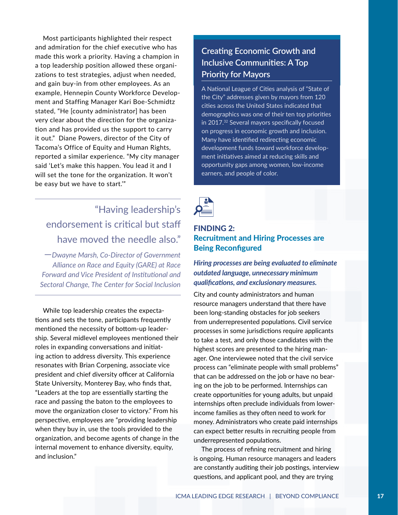Most participants highlighted their respect and admiration for the chief executive who has made this work a priority. Having a champion in a top leadership position allowed these organizations to test strategies, adjust when needed, and gain buy-in from other employees. As an example, Hennepin County Workforce Development and Staffing Manager Kari Boe-Schmidtz stated, "He [county administrator] has been very clear about the direction for the organization and has provided us the support to carry it out." Diane Powers, director of the City of Tacoma's Office of Equity and Human Rights, reported a similar experience. "My city manager said 'Let's make this happen. You lead it and I will set the tone for the organization. It won't be easy but we have to start.'"

## "Having leadership's endorsement is critical but staff have moved the needle also."

—*Dwayne Marsh, Co-Director of Government Alliance on Race and Equity (GARE) at Race Forward and Vice President of Institutional and Sectoral Change, The Center for Social Inclusion*

While top leadership creates the expectations and sets the tone, participants frequently mentioned the necessity of bottom-up leadership. Several midlevel employees mentioned their roles in expanding conversations and initiating action to address diversity. This experience resonates with Brian Corpening, associate vice president and chief diversity officer at California State University, Monterey Bay, who finds that, "Leaders at the top are essentially starting the race and passing the baton to the employees to move the organization closer to victory." From his perspective, employees are "providing leadership when they buy in, use the tools provided to the organization, and become agents of change in the internal movement to enhance diversity, equity, and inclusion."

#### **Creating Economic Growth and Inclusive Communities: A Top Priority for Mayors**

A National League of Cities analysis of "State of the City" addresses given by mayors from 120 cities across the United States indicated that demographics was one of their ten top priorities in 2017.32 Several mayors specifically focused on progress in economic growth and inclusion. Many have identified redirecting economic development funds toward workforce development initiatives aimed at reducing skills and opportunity gaps among women, low-income earners, and people of color.



#### FINDING 2: Recruitment and Hiring Processes are Being Reconfigured

*Hiring processes are being evaluated to eliminate outdated language, unnecessary minimum qualifications, and exclusionary measures.*

City and county administrators and human resource managers understand that there have been long-standing obstacles for job seekers from underrepresented populations. Civil service processes in some jurisdictions require applicants to take a test, and only those candidates with the highest scores are presented to the hiring manager. One interviewee noted that the civil service process can "eliminate people with small problems" that can be addressed on the job or have no bearing on the job to be performed. Internships can create opportunities for young adults, but unpaid internships often preclude individuals from lowerincome families as they often need to work for money. Administrators who create paid internships can expect better results in recruiting people from underrepresented populations.

The process of refining recruitment and hiring is ongoing. Human resource managers and leaders are constantly auditing their job postings, interview questions, and applicant pool, and they are trying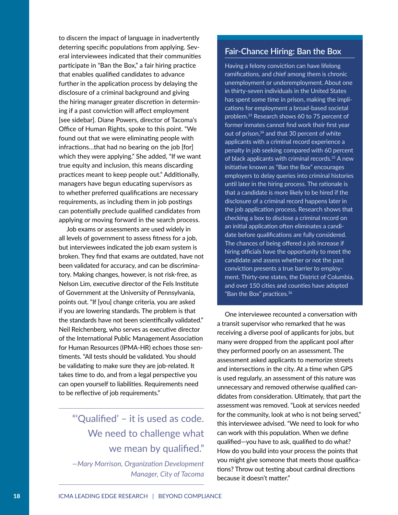to discern the impact of language in inadvertently deterring specific populations from applying. Several interviewees indicated that their communities participate in "Ban the Box," a fair hiring practice that enables qualified candidates to advance further in the application process by delaying the disclosure of a criminal background and giving the hiring manager greater discretion in determining if a past conviction will affect employment [see sidebar]. Diane Powers, director of Tacoma's Office of Human Rights, spoke to this point. "We found out that we were eliminating people with infractions…that had no bearing on the job [for] which they were applying." She added, "If we want true equity and inclusion, this means discarding practices meant to keep people out." Additionally, managers have begun educating supervisors as to whether preferred qualifications are necessary requirements, as including them in job postings can potentially preclude qualified candidates from applying or moving forward in the search process.

Job exams or assessments are used widely in all levels of government to assess fitness for a job, but interviewees indicated the job exam system is broken. They find that exams are outdated, have not been validated for accuracy, and can be discriminatory. Making changes, however, is not risk-free, as Nelson Lim, executive director of the Fels Institute of Government at the University of Pennsylvania, points out. "If [you] change criteria, you are asked if you are lowering standards. The problem is that the standards have not been scientifically validated." Neil Reichenberg, who serves as executive director of the International Public Management Association for Human Resources (IPMA-HR) echoes those sentiments. "All tests should be validated. You should be validating to make sure they are job-related. It takes time to do, and from a legal perspective you can open yourself to liabilities. Requirements need to be reflective of job requirements."

## "'Qualified' – it is used as code. We need to challenge what we mean by qualified."

*—Mary Morrison, Organization Development Manager, City of Tacoma*

#### **Fair-Chance Hiring: Ban the Box**

Having a felony conviction can have lifelong ramifications, and chief among them is chronic unemployment or underemployment. About one in thirty-seven individuals in the United States has spent some time in prison, making the implications for employment a broad-based societal problem.33 Research shows 60 to 75 percent of former inmates cannot find work their first year out of prison,<sup>34</sup> and that 30 percent of white applicants with a criminal record experience a penalty in job seeking compared with 60 percent of black applicants with criminal records.<sup>35</sup> A new initiative known as "Ban the Box" encourages employers to delay queries into criminal histories until later in the hiring process. The rationale is that a candidate is more likely to be hired if the disclosure of a criminal record happens later in the job application process. Research shows that checking a box to disclose a criminal record on an initial application often eliminates a candidate before qualifications are fully considered. The chances of being offered a job increase if hiring officials have the opportunity to meet the candidate and assess whether or not the past conviction presents a true barrier to employment. Thirty-one states, the District of Columbia, and over 150 cities and counties have adopted "Ban the Box" practices.36

One interviewee recounted a conversation with a transit supervisor who remarked that he was receiving a diverse pool of applicants for jobs, but many were dropped from the applicant pool after they performed poorly on an assessment. The assessment asked applicants to memorize streets and intersections in the city. At a time when GPS is used regularly, an assessment of this nature was unnecessary and removed otherwise qualified candidates from consideration. Ultimately, that part the assessment was removed. "Look at services needed for the community, look at who is not being served," this interviewee advised. "We need to look for who can work with this population. When we define qualified—you have to ask, qualified to do what? How do you build into your process the points that you might give someone that meets those qualifications? Throw out testing about cardinal directions because it doesn't matter."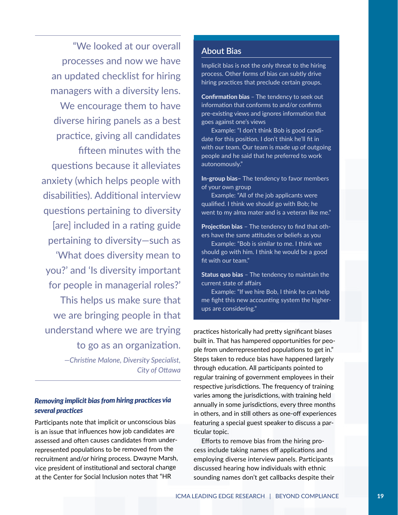"We looked at our overall processes and now we have an updated checklist for hiring managers with a diversity lens. We encourage them to have diverse hiring panels as a best practice, giving all candidates fifteen minutes with the questions because it alleviates anxiety (which helps people with disabilities). Additional interview questions pertaining to diversity [are] included in a rating guide pertaining to diversity—such as 'What does diversity mean to you?' and 'Is diversity important for people in managerial roles?' This helps us make sure that we are bringing people in that understand where we are trying to go as an organization. *—Christine Malone, Diversity Specialist,* 

#### *Removing implicit bias from hiring practices via several practices*

*City of Ottawa* 

Participants note that implicit or unconscious bias is an issue that influences how job candidates are assessed and often causes candidates from underrepresented populations to be removed from the recruitment and/or hiring process. Dwayne Marsh, vice president of institutional and sectoral change at the Center for Social Inclusion notes that "HR

#### **About Bias**

Implicit bias is not the only threat to the hiring process. Other forms of bias can subtly drive hiring practices that preclude certain groups.

Confirmation bias – The tendency to seek out information that conforms to and/or confirms pre-existing views and ignores information that goes against one's views

Example: "I don't think Bob is good candidate for this position. I don't think he'll fit in with our team. Our team is made up of outgoing people and he said that he preferred to work autonomously."

In-group bias- The tendency to favor members of your own group

Example: "All of the job applicants were qualified. I think we should go with Bob; he went to my alma mater and is a veteran like me."

Projection bias - The tendency to find that others have the same attitudes or beliefs as you

Example: "Bob is similar to me. I think we should go with him. I think he would be a good fit with our team."

**Status quo bias** - The tendency to maintain the current state of affairs

Example: "If we hire Bob, I think he can help me fight this new accounting system the higherups are considering."

practices historically had pretty significant biases built in. That has hampered opportunities for people from underrepresented populations to get in." Steps taken to reduce bias have happened largely through education. All participants pointed to regular training of government employees in their respective jurisdictions. The frequency of training varies among the jurisdictions, with training held annually in some jurisdictions, every three months in others, and in still others as one-off experiences featuring a special guest speaker to discuss a particular topic.

Efforts to remove bias from the hiring process include taking names off applications and employing diverse interview panels. Participants discussed hearing how individuals with ethnic sounding names don't get callbacks despite their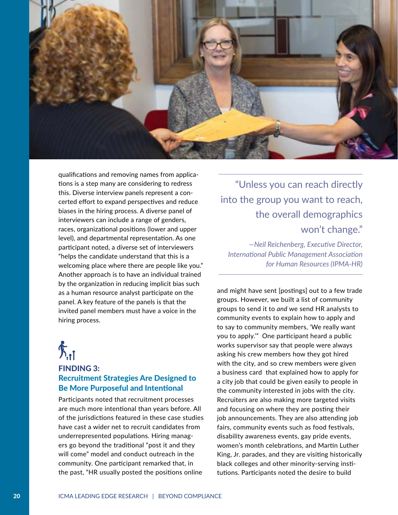

qualifications and removing names from applications is a step many are considering to redress this. Diverse interview panels represent a concerted effort to expand perspectives and reduce biases in the hiring process. A diverse panel of interviewers can include a range of genders, races, organizational positions (lower and upper level), and departmental representation. As one participant noted, a diverse set of interviewers "helps the candidate understand that this is a welcoming place where there are people like you." Another approach is to have an individual trained by the organization in reducing implicit bias such as a human resource analyst participate on the panel. A key feature of the panels is that the invited panel members must have a voice in the hiring process.

# $\sum_{i=1}^{n}$

#### FINDING 3: Recruitment Strategies Are Designed to Be More Purposeful and Intentional

Participants noted that recruitment processes are much more intentional than years before. All of the jurisdictions featured in these case studies have cast a wider net to recruit candidates from underrepresented populations. Hiring managers go beyond the traditional "post it and they will come" model and conduct outreach in the community. One participant remarked that, in the past, "HR usually posted the positions online

"Unless you can reach directly into the group you want to reach, the overall demographics won't change."

*—Neil Reichenberg, Executive Director, International Public Management Association for Human Resources (IPMA-HR)* 

and might have sent [postings] out to a few trade groups. However, we built a list of community groups to send it to *and* we send HR analysts to community events to explain how to apply and to say to community members, 'We really want you to apply.'" One participant heard a public works supervisor say that people were always asking his crew members how they got hired with the city, and so crew members were given a business card that explained how to apply for a city job that could be given easily to people in the community interested in jobs with the city. Recruiters are also making more targeted visits and focusing on where they are posting their job announcements. They are also attending job fairs, community events such as food festivals, disability awareness events, gay pride events, women's month celebrations, and Martin Luther King, Jr. parades, and they are visiting historically black colleges and other minority-serving institutions. Participants noted the desire to build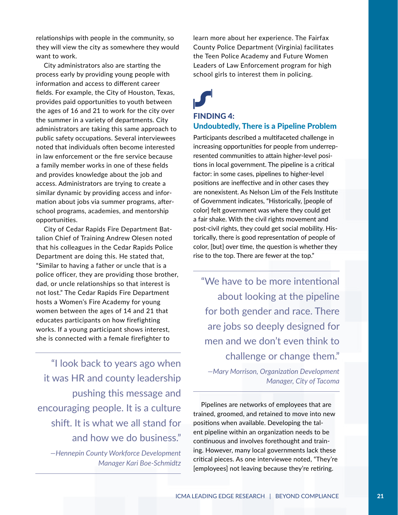relationships with people in the community, so they will view the city as somewhere they would want to work.

City administrators also are starting the process early by providing young people with information and access to different career fields. For example, the City of Houston, Texas, provides paid opportunities to youth between the ages of 16 and 21 to work for the city over the summer in a variety of departments. City administrators are taking this same approach to public safety occupations. Several interviewees noted that individuals often become interested in law enforcement or the fire service because a family member works in one of these fields and provides knowledge about the job and access. Administrators are trying to create a similar dynamic by providing access and information about jobs via summer programs, afterschool programs, academies, and mentorship opportunities.

City of Cedar Rapids Fire Department Battalion Chief of Training Andrew Olesen noted that his colleagues in the Cedar Rapids Police Department are doing this. He stated that, "Similar to having a father or uncle that is a police officer, they are providing those brother, dad, or uncle relationships so that interest is not lost." The Cedar Rapids Fire Department hosts a Women's Fire Academy for young women between the ages of 14 and 21 that educates participants on how firefighting works. If a young participant shows interest, she is connected with a female firefighter to

"I look back to years ago when it was HR and county leadership pushing this message and encouraging people. It is a culture shift. It is what we all stand for and how we do business."

*—Hennepin County Workforce Development Manager Kari Boe-Schmidtz* learn more about her experience. The Fairfax County Police Department (Virginia) facilitates the Teen Police Academy and Future Women Leaders of Law Enforcement program for high school girls to interest them in policing.

# FINDING 4:

#### Undoubtedly, There is a Pipeline Problem

Participants described a multifaceted challenge in increasing opportunities for people from underrepresented communities to attain higher-level positions in local government. The pipeline is a critical factor: in some cases, pipelines to higher-level positions are ineffective and in other cases they are nonexistent. As Nelson Lim of the Fels Institute of Government indicates, "Historically, [people of color] felt government was where they could get a fair shake. With the civil rights movement and post-civil rights, they could get social mobility. Historically, there is good representation of people of color, [but] over time, the question is whether they rise to the top. There are fewer at the top."

"We have to be more intentional about looking at the pipeline for both gender and race. There are jobs so deeply designed for men and we don't even think to challenge or change them."

*—Mary Morrison, Organization Development Manager, City of Tacoma* 

Pipelines are networks of employees that are trained, groomed, and retained to move into new positions when available. Developing the talent pipeline within an organization needs to be continuous and involves forethought and training. However, many local governments lack these critical pieces. As one interviewee noted, "They're [employees] not leaving because they're retiring.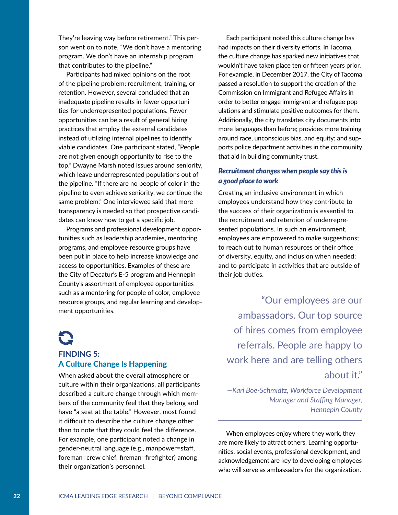They're leaving way before retirement." This person went on to note, "We don't have a mentoring program. We don't have an internship program that contributes to the pipeline."

Participants had mixed opinions on the root of the pipeline problem: recruitment, training, or retention. However, several concluded that an inadequate pipeline results in fewer opportunities for underrepresented populations. Fewer opportunities can be a result of general hiring practices that employ the external candidates instead of utilizing internal pipelines to identify viable candidates. One participant stated, "People are not given enough opportunity to rise to the top." Dwayne Marsh noted issues around seniority, which leave underrepresented populations out of the pipeline. "If there are no people of color in the pipeline to even achieve seniority, we continue the same problem." One interviewee said that more transparency is needed so that prospective candidates can know how to get a specific job.

Programs and professional development opportunities such as leadership academies, mentoring programs, and employee resource groups have been put in place to help increase knowledge and access to opportunities. Examples of these are the City of Decatur's E-5 program and Hennepin County's assortment of employee opportunities such as a mentoring for people of color, employee resource groups, and regular learning and development opportunities.

### $\mathbf{C}$ FINDING 5: A Culture Change Is Happening

When asked about the overall atmosphere or culture within their organizations, all participants described a culture change through which members of the community feel that they belong and have "a seat at the table." However, most found it difficult to describe the culture change other than to note that they could feel the difference. For example, one participant noted a change in gender-neutral language (e.g., manpower=staff, foreman=crew chief, fireman=firefighter) among their organization's personnel.

Each participant noted this culture change has had impacts on their diversity efforts. In Tacoma, the culture change has sparked new initiatives that wouldn't have taken place ten or fifteen years prior. For example, in December 2017, the City of Tacoma passed a resolution to support the creation of the Commission on Immigrant and Refugee Affairs in order to better engage immigrant and refugee populations and stimulate positive outcomes for them. Additionally, the city translates city documents into more languages than before; provides more training around race, unconscious bias, and equity; and supports police department activities in the community that aid in building community trust.

#### *Recruitment changes when people say this is a good place to work*

Creating an inclusive environment in which employees understand how they contribute to the success of their organization is essential to the recruitment and retention of underrepresented populations. In such an environment, employees are empowered to make suggestions; to reach out to human resources or their office of diversity, equity, and inclusion when needed; and to participate in activities that are outside of their job duties.

"Our employees are our ambassadors. Our top source of hires comes from employee referrals. People are happy to work here and are telling others about it."

*—Kari Boe-Schmidtz, Workforce Development Manager and Staffing Manager, Hennepin County*

When employees enjoy where they work, they are more likely to attract others. Learning opportunities, social events, professional development, and acknowledgement are key to developing employees who will serve as ambassadors for the organization.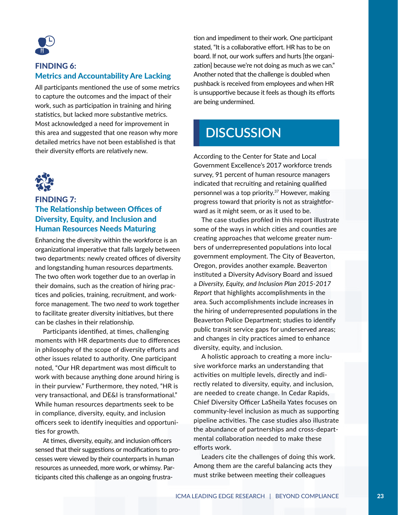

#### FINDING 6: Metrics and Accountability Are Lacking

All participants mentioned the use of some metrics to capture the outcomes and the impact of their work, such as participation in training and hiring statistics, but lacked more substantive metrics. Most acknowledged a need for improvement in this area and suggested that one reason why more detailed metrics have not been established is that their diversity efforts are relatively new.



#### FINDING 7: The Relationship between Offices of Diversity, Equity, and Inclusion and Human Resources Needs Maturing

Enhancing the diversity within the workforce is an organizational imperative that falls largely between two departments: newly created offices of diversity and longstanding human resources departments. The two often work together due to an overlap in their domains, such as the creation of hiring practices and policies, training, recruitment, and workforce management. The two *need* to work together to facilitate greater diversity initiatives, but there can be clashes in their relationship.

Participants identified, at times, challenging moments with HR departments due to differences in philosophy of the scope of diversity efforts and other issues related to authority. One participant noted, "Our HR department was most difficult to work with because anything done around hiring is in their purview." Furthermore, they noted, "HR is very transactional, and DE&I is transformational." While human resources departments seek to be in compliance, diversity, equity, and inclusion officers seek to identify inequities and opportunities for growth.

At times, diversity, equity, and inclusion officers sensed that their suggestions or modifications to processes were viewed by their counterparts in human resources as unneeded, more work, or whimsy. Participants cited this challenge as an ongoing frustration and impediment to their work. One participant stated, "It is a collaborative effort. HR has to be on board. If not, our work suffers and hurts [the organization] because we're not doing as much as we can." Another noted that the challenge is doubled when pushback is received from employees and when HR is unsupportive because it feels as though its efforts are being undermined.

## **DISCUSSION**

According to the Center for State and Local Government Excellence's 2017 workforce trends survey, 91 percent of human resource managers indicated that recruiting and retaining qualified personnel was a top priority.<sup>37</sup> However, making progress toward that priority is not as straightforward as it might seem, or as it used to be.

The case studies profiled in this report illustrate some of the ways in which cities and counties are creating approaches that welcome greater numbers of underrepresented populations into local government employment. The City of Beaverton, Oregon, provides another example. Beaverton instituted a Diversity Advisory Board and issued a *Diversity, Equity, and Inclusion Plan 2015-2017 Report* that highlights accomplishments in the area. Such accomplishments include increases in the hiring of underrepresented populations in the Beaverton Police Department; studies to identify public transit service gaps for underserved areas; and changes in city practices aimed to enhance diversity, equity, and inclusion.

A holistic approach to creating a more inclusive workforce marks an understanding that activities on multiple levels, directly and indirectly related to diversity, equity, and inclusion, are needed to create change. In Cedar Rapids, Chief Diversity Officer LaSheila Yates focuses on community-level inclusion as much as supporting pipeline activities. The case studies also illustrate the abundance of partnerships and cross-departmental collaboration needed to make these efforts work.

Leaders cite the challenges of doing this work. Among them are the careful balancing acts they must strike between meeting their colleagues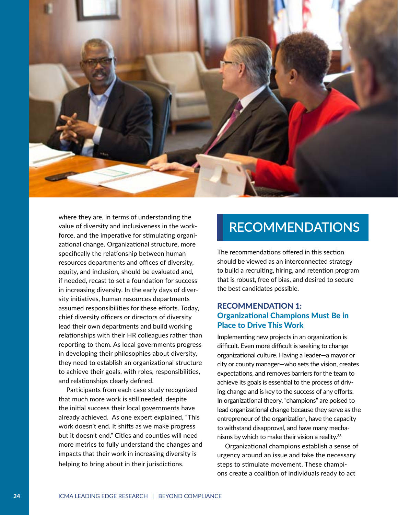

where they are, in terms of understanding the value of diversity and inclusiveness in the workforce, and the imperative for stimulating organizational change. Organizational structure, more specifically the relationship between human resources departments and offices of diversity, equity, and inclusion, should be evaluated and, if needed, recast to set a foundation for success in increasing diversity. In the early days of diversity initiatives, human resources departments assumed responsibilities for these efforts. Today, chief diversity officers or directors of diversity lead their own departments and build working relationships with their HR colleagues rather than reporting to them. As local governments progress in developing their philosophies about diversity, they need to establish an organizational structure to achieve their goals, with roles, responsibilities, and relationships clearly defined.

Participants from each case study recognized that much more work is still needed, despite the initial success their local governments have already achieved. As one expert explained, "This work doesn't end. It shifts as we make progress but it doesn't end." Cities and counties will need more metrics to fully understand the changes and impacts that their work in increasing diversity is helping to bring about in their jurisdictions.

## **RECOMMENDATIONS**

The recommendations offered in this section should be viewed as an interconnected strategy to build a recruiting, hiring, and retention program that is robust, free of bias, and desired to secure the best candidates possible.

#### RECOMMENDATION 1: Organizational Champions Must Be in Place to Drive This Work

Implementing new projects in an organization is difficult. Even more difficult is seeking to change organizational culture. Having a leader—a mayor or city or county manager—who sets the vision, creates expectations, and removes barriers for the team to achieve its goals is essential to the process of driving change and is key to the success of any efforts. In organizational theory, "champions" are poised to lead organizational change because they serve as the entrepreneur of the organization, have the capacity to withstand disapproval, and have many mechanisms by which to make their vision a reality.<sup>38</sup>

Organizational champions establish a sense of urgency around an issue and take the necessary steps to stimulate movement. These champions create a coalition of individuals ready to act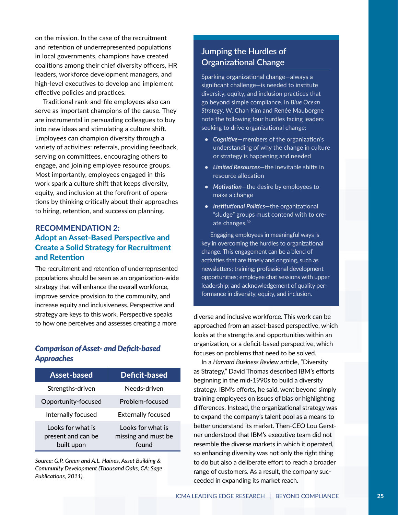on the mission. In the case of the recruitment and retention of underrepresented populations in local governments, champions have created coalitions among their chief diversity officers, HR leaders, workforce development managers, and high-level executives to develop and implement effective policies and practices.

Traditional rank-and-file employees also can serve as important champions of the cause. They are instrumental in persuading colleagues to buy into new ideas and stimulating a culture shift. Employees can champion diversity through a variety of activities: referrals, providing feedback, serving on committees, encouraging others to engage, and joining employee resource groups. Most importantly, employees engaged in this work spark a culture shift that keeps diversity, equity, and inclusion at the forefront of operations by thinking critically about their approaches to hiring, retention, and succession planning.

#### RECOMMENDATION 2: Adopt an Asset-Based Perspective and Create a Solid Strategy for Recruitment and Retention

The recruitment and retention of underrepresented populations should be seen as an organization-wide strategy that will enhance the overall workforce, improve service provision to the community, and increase equity and inclusiveness. Perspective and strategy are keys to this work. Perspective speaks to how one perceives and assesses creating a more

#### *Comparison of Asset- and Deficit-based Approaches*

| <b>Asset-based</b>                                    | Deficit-based                                     |
|-------------------------------------------------------|---------------------------------------------------|
| Strengths-driven                                      | Needs-driven                                      |
| Opportunity-focused                                   | Problem-focused                                   |
| Internally focused                                    | <b>Externally focused</b>                         |
| Looks for what is<br>present and can be<br>built upon | Looks for what is<br>missing and must be<br>found |

*Source: G.P. Green and A.L. Haines, Asset Building & Community Development (Thousand Oaks, CA: Sage Publications, 2011).*

#### **Jumping the Hurdles of Organizational Change**

Sparking organizational change—always a significant challenge—is needed to institute diversity, equity, and inclusion practices that go beyond simple compliance. In *Blue Ocean Strategy*, W. Chan Kim and Renée Mauborgne note the following four hurdles facing leaders seeking to drive organizational change:

- *• Cognitive*—members of the organization's understanding of why the change in culture or strategy is happening and needed
- *• Limited Resources*—the inevitable shifts in resource allocation
- *• Motivation*—the desire by employees to make a change
- *• Institutional Politics*—the organizational "sludge" groups must contend with to create changes.<sup>39</sup>

 Engaging employees in meaningful ways is key in overcoming the hurdles to organizational change. This engagement can be a blend of activities that are timely and ongoing, such as newsletters; training; professional development opportunities; employee chat sessions with upper leadership; and acknowledgement of quality performance in diversity, equity, and inclusion.

diverse and inclusive workforce. This work can be approached from an asset-based perspective, which looks at the strengths and opportunities within an organization, or a deficit-based perspective, which focuses on problems that need to be solved.

In a *Harvard Business Review* article, "Diversity as Strategy," David Thomas described IBM's efforts beginning in the mid-1990s to build a diversity strategy. IBM's efforts, he said, went beyond simply training employees on issues of bias or highlighting differences. Instead, the organizational strategy was to expand the company's talent pool as a means to better understand its market. Then-CEO Lou Gerstner understood that IBM's executive team did not resemble the diverse markets in which it operated, so enhancing diversity was not only the right thing to do but also a deliberate effort to reach a broader range of customers. As a result, the company succeeded in expanding its market reach.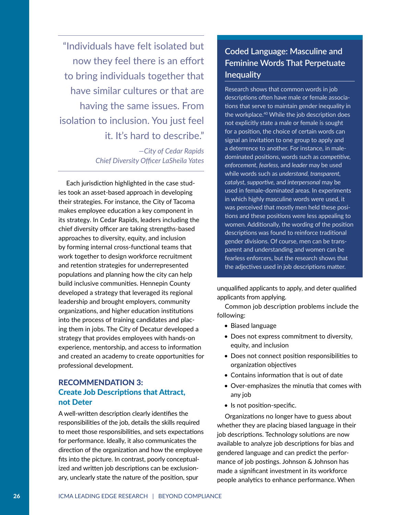"Individuals have felt isolated but now they feel there is an effort to bring individuals together that have similar cultures or that are having the same issues. From isolation to inclusion. You just feel it. It's hard to describe."

> *—City of Cedar Rapids Chief Diversity Officer LaSheila Yates*

Each jurisdiction highlighted in the case studies took an asset-based approach in developing their strategies. For instance, the City of Tacoma makes employee education a key component in its strategy. In Cedar Rapids, leaders including the chief diversity officer are taking strengths-based approaches to diversity, equity, and inclusion by forming internal cross-functional teams that work together to design workforce recruitment and retention strategies for underrepresented populations and planning how the city can help build inclusive communities. Hennepin County developed a strategy that leveraged its regional leadership and brought employers, community organizations, and higher education institutions into the process of training candidates and placing them in jobs. The City of Decatur developed a strategy that provides employees with hands-on experience, mentorship, and access to information and created an academy to create opportunities for professional development.

#### RECOMMENDATION 3: Create Job Descriptions that Attract, not Deter

A well-written description clearly identifies the responsibilities of the job, details the skills required to meet those responsibilities, and sets expectations for performance. Ideally, it also communicates the direction of the organization and how the employee fits into the picture. In contrast, poorly conceptualized and written job descriptions can be exclusionary, unclearly state the nature of the position, spur

#### **Coded Language: Masculine and Feminine Words That Perpetuate Inequality**

Research shows that common words in job descriptions often have male or female associations that serve to maintain gender inequality in the workplace.40 While the job description does not explicitly state a male or female is sought for a position, the choice of certain words can signal an invitation to one group to apply and a deterrence to another. For instance, in maledominated positions, words such as *competitive, enforcement, fearless,* and *leader* may be used while words such as *understand, transparent, catalyst, supportive,* and *interpersonal* may be used in female-dominated areas. In experiments in which highly masculine words were used, it was perceived that mostly men held these positions and these positions were less appealing to women. Additionally, the wording of the position descriptions was found to reinforce traditional gender divisions. Of course, men can be transparent and understanding and women can be fearless enforcers, but the research shows that the adjectives used in job descriptions matter.

unqualified applicants to apply, and deter qualified applicants from applying.

Common job description problems include the following:

- Biased language
- Does not express commitment to diversity, equity, and inclusion
- Does not connect position responsibilities to organization objectives
- Contains information that is out of date
- Over-emphasizes the minutia that comes with any job
- Is not position-specific.

Organizations no longer have to guess about whether they are placing biased language in their job descriptions. Technology solutions are now available to analyze job descriptions for bias and gendered language and can predict the performance of job postings. Johnson & Johnson has made a significant investment in its workforce people analytics to enhance performance. When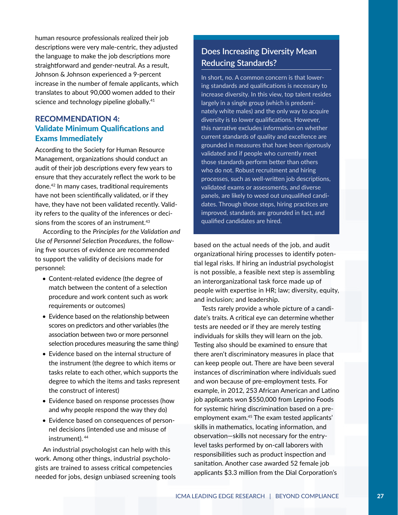human resource professionals realized their job descriptions were very male-centric, they adjusted the language to make the job descriptions more straightforward and gender-neutral. As a result, Johnson & Johnson experienced a 9-percent increase in the number of female applicants, which translates to about 90,000 women added to their science and technology pipeline globally.<sup>41</sup>

#### RECOMMENDATION 4: Validate Minimum Qualifications and Exams Immediately

According to the Society for Human Resource Management, organizations should conduct an audit of their job descriptions every few years to ensure that they accurately reflect the work to be done.42 In many cases, traditional requirements have not been scientifically validated, or if they have, they have not been validated recently. Validity refers to the quality of the inferences or decisions from the scores of an instrument.<sup>43</sup>

According to the *Principles for the Validation and Use of Personnel Selection Procedures*, the following five sources of evidence are recommended to support the validity of decisions made for personnel:

- Content-related evidence (the degree of match between the content of a selection procedure and work content such as work requirements or outcomes)
- Evidence based on the relationship between scores on predictors and other variables (the association between two or more personnel selection procedures measuring the same thing)
- Evidence based on the internal structure of the instrument (the degree to which items or tasks relate to each other, which supports the degree to which the items and tasks represent the construct of interest)
- Evidence based on response processes (how and why people respond the way they do)
- Evidence based on consequences of personnel decisions (intended use and misuse of instrument).<sup>44</sup>

An industrial psychologist can help with this work. Among other things, industrial psychologists are trained to assess critical competencies needed for jobs, design unbiased screening tools

#### **Does Increasing Diversity Mean Reducing Standards?**

In short, no. A common concern is that lowering standards and qualifications is necessary to increase diversity. In this view, top talent resides largely in a single group (which is predominately white males) and the only way to acquire diversity is to lower qualifications. However, this narrative excludes information on whether current standards of quality and excellence are grounded in measures that have been rigorously validated and if people who currently meet those standards perform better than others who do not. Robust recruitment and hiring processes, such as well-written job descriptions, validated exams or assessments, and diverse panels, are likely to weed out unqualified candidates. Through those steps, hiring practices are improved, standards are grounded in fact, and qualified candidates are hired.

based on the actual needs of the job, and audit organizational hiring processes to identify potential legal risks. If hiring an industrial psychologist is not possible, a feasible next step is assembling an interorganizational task force made up of people with expertise in HR; law; diversity, equity, and inclusion; and leadership.

Tests rarely provide a whole picture of a candidate's traits. A critical eye can determine whether tests are needed or if they are merely testing individuals for skills they will learn on the job. Testing also should be examined to ensure that there aren't discriminatory measures in place that can keep people out. There are have been several instances of discrimination where individuals sued and won because of pre-employment tests. For example, in 2012, 253 African American and Latino job applicants won \$550,000 from Leprino Foods for systemic hiring discrimination based on a preemployment exam.45 The exam tested applicants' skills in mathematics, locating information, and observation—skills not necessary for the entrylevel tasks performed by on-call laborers with responsibilities such as product inspection and sanitation. Another case awarded 52 female job applicants \$3.3 million from the Dial Corporation's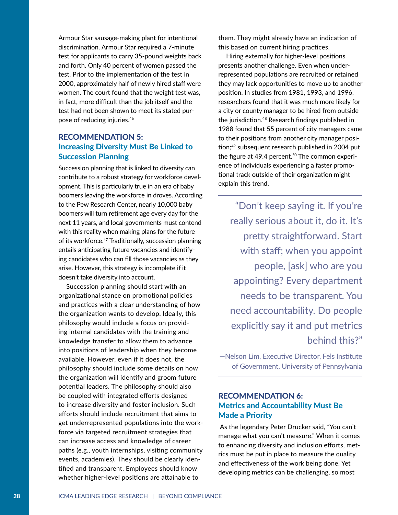Armour Star sausage-making plant for intentional discrimination. Armour Star required a 7-minute test for applicants to carry 35-pound weights back and forth. Only 40 percent of women passed the test. Prior to the implementation of the test in 2000, approximately half of newly hired staff were women. The court found that the weight test was, in fact, more difficult than the job itself and the test had not been shown to meet its stated purpose of reducing injuries.<sup>46</sup>

#### RECOMMENDATION 5: Increasing Diversity Must Be Linked to Succession Planning

Succession planning that is linked to diversity can contribute to a robust strategy for workforce development. This is particularly true in an era of baby boomers leaving the workforce in droves. According to the Pew Research Center, nearly 10,000 baby boomers will turn retirement age every day for the next 11 years, and local governments must contend with this reality when making plans for the future of its workforce.47 Traditionally, succession planning entails anticipating future vacancies and identifying candidates who can fill those vacancies as they arise. However, this strategy is incomplete if it doesn't take diversity into account.

Succession planning should start with an organizational stance on promotional policies and practices with a clear understanding of how the organization wants to develop. Ideally, this philosophy would include a focus on providing internal candidates with the training and knowledge transfer to allow them to advance into positions of leadership when they become available. However, even if it does not, the philosophy should include some details on how the organization will identify and groom future potential leaders. The philosophy should also be coupled with integrated efforts designed to increase diversity and foster inclusion. Such efforts should include recruitment that aims to get underrepresented populations into the workforce via targeted recruitment strategies that can increase access and knowledge of career paths (e.g., youth internships, visiting community events, academies). They should be clearly identified and transparent. Employees should know whether higher-level positions are attainable to

them. They might already have an indication of this based on current hiring practices.

Hiring externally for higher-level positions presents another challenge. Even when underrepresented populations are recruited or retained they may lack opportunities to move up to another position. In studies from 1981, 1993, and 1996, researchers found that it was much more likely for a city or county manager to be hired from outside the jurisdiction.<sup>48</sup> Research findings published in 1988 found that 55 percent of city managers came to their positions from another city manager position;49 subsequent research published in 2004 put the figure at 49.4 percent.<sup>50</sup> The common experience of individuals experiencing a faster promotional track outside of their organization might explain this trend.

"Don't keep saying it. If you're really serious about it, do it. It's pretty straightforward. Start with staff; when you appoint people, [ask] who are you appointing? Every department needs to be transparent. You need accountability. Do people explicitly say it and put metrics behind this?"

—Nelson Lim, Executive Director, Fels Institute of Government, University of Pennsylvania

#### RECOMMENDATION 6: Metrics and Accountability Must Be Made a Priority

 As the legendary Peter Drucker said, "You can't manage what you can't measure." When it comes to enhancing diversity and inclusion efforts, metrics must be put in place to measure the quality and effectiveness of the work being done. Yet developing metrics can be challenging, so most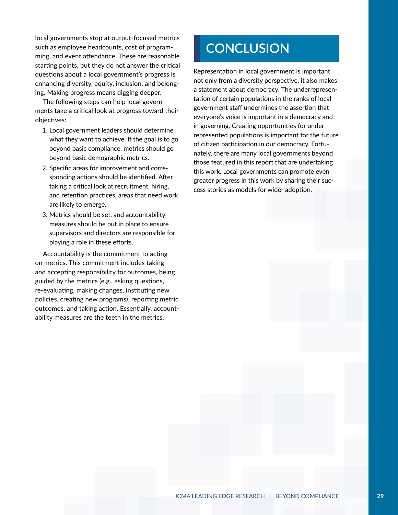local governments stop at output-focused metrics such as employee headcounts, cost of programming, and event attendance. These are reasonable starting points, but they do not answer the critical questions about a local government's progress is enhancing diversity, equity, inclusion, and belonging. Making progress means digging deeper.

The following steps can help local governments take a critical look at progress toward their objectives:

- 1. Local government leaders should determine what they want to achieve. If the goal is to go beyond basic compliance, metrics should go beyond basic demographic metrics.
- 2. Specific areas for improvement and corresponding actions should be identified. After taking a critical look at recruitment, hiring, and retention practices, areas that need work are likely to emerge.
- 3. Metrics should be set, and accountability measures should be put in place to ensure supervisors and directors are responsible for playing a role in these efforts.

Accountability is the commitment to acting on metrics. This commitment includes taking and accepting responsibility for outcomes, being guided by the metrics (e.g., asking questions, re-evaluating, making changes, instituting new policies, creating new programs), reporting metric outcomes, and taking action. Essentially, accountability measures are the teeth in the metrics.

## **CONCLUSION**

Representation in local government is important not only from a diversity perspective, it also makes a statement about democracy. The underrepresentation of certain populations in the ranks of local government staff undermines the assertion that everyone's voice is important in a democracy and in governing. Creating opportunities for underrepresented populations is important for the future of citizen participation in our democracy. Fortunately, there are many local governments beyond those featured in this report that are undertaking this work. Local governments can promote even greater progress in this work by sharing their success stories as models for wider adoption.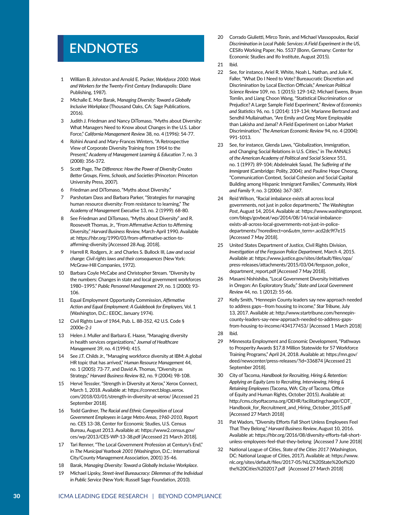## **ENDNOTES**

- 1 William B. Johnston and Arnold E. Packer, *Workforce 2000: Work and Workers for the Twenty-First Century* (Indianapolis: Diane Publishing, 1987).
- 2 Michalle E. Mor Barak, *Managing Diversity: Toward a Globally Inclusive Workplace* (Thousand Oaks, CA: Sage Publications, 2016).
- 3 Judith J. Friedman and Nancy DiTomaso, "Myths about Diversity: What Managers Need to Know about Changes in the U.S. Labor Force," *California Management Review* 38, no. 4 (1996): 54-77.
- 4 Rohini Anand and Mary-Frances Winters, "A Retrospective View of Corporate Diversity Training from 1964 to the Present," *Academy of Management Learning & Education* 7, no. 3 (2008): 356-372.
- 5 Scott Page, *The Difference: How the Power of Diversity Creates Better Groups, Firms, Schools, and Societies* (Princeton: Princeton University Press, 2007).
- 6 Friedman and DiTomaso, "Myths about Diversity."
- 7 Parshotam Dass and Barbara Parker, "Strategies for managing human resource diversity: From resistance to learning," *The Academy of Management Executive* 13, no. 2 (1999): 68-80.
- 8 See Friedman and DiTomaso, "Myths about Diversity" and R. Roosevelt Thomas, Jr., "From Affirmative Action to Affirming Diversity," *Harvard Business Review,* March-April 1990. Available at: https://hbr.org/1990/03/from-affirmative-action-toaffirming-diversity [Accessed 28 Aug. 2018].
- 9 Harrell R. Rodgers, Jr. and Charles S. Bullock III, *Law and social change: Civil rights laws and their consequences* (New York: McGraw-Hill Companies, 1972).
- 10 Barbara Coyle McCabe and Christopher Stream. "Diversity by the numbers: Changes in state and local government workforces 1980–1995." *Public Personnel Management* 29, no. 1 (2000): 93- 106.
- 11 Equal Employment Opportunity Commission, *Affirmative Action and Equal Employment: A Guidebook for Employers,* Vol. 1 (Washington, D.C.: EEOC, January 1974).
- 12 Civil Rights Law of 1964, Pub. L. 88-352, 42 U.S. Code § 2000e-2-J
- 13 Helen J. Muller and Barbara E. Haase, "Managing diversity in health services organizations," *Journal of Healthcare Management* 39, no. 4 (1994): 415.
- 14 See J.T. Childs Jr., "Managing workforce diversity at IBM: A global HR topic that has arrived," *Human Resource Management* 44, no. 1 (2005): 73-77, and David A. Thomas, "Diversity as Strategy," *Harvard Business Review* 82, no. 9 (2004): 98-108.
- 15 Hervé Tesssler, "Strength in Diversity at Xerox," Xerox Connect, March 1, 2018. Available at: https://connect.blogs.xerox. com/2018/03/01/strength-in-diversity-at-xerox/ [Accessed 21 September 2018].
- 16 Todd Gardner, *The Racial and Ethnic Composition of Local Government Employees in Large Metro Areas, 1960-2010,* Report no. CES 13-38, Center for Economic Studies, U.S. Census Bureau, August 2013. Available at: https://www2.census.gov/ ces/wp/2013/CES-WP-13-38.pdf [Accessed 21 March 2018].
- 17 Tari Renner, "The Local Government Profession at Century's End," in *The Municipal Yearbook 2001* (Washington, D.C.: International City/County Management Association, 2001) 35-46.
- 18 Barak, *Managing Diversity: Toward a Globally Inclusive Workplace*.
- 19 Michael Lipsky, *Street-level Bureaucracy: Dilemmas of the Individual in Public Service* (New York: Russell Sage Foundation, 2010).
- 20 Corrado Giulietti, Mirco Tonin, and Michael Vlassopoulos, *Racial Discrimination in Local Public Services: A Field Experiment in the US,* CESifo Working Paper, No. 5537 (Bonn, Germany: Center for Economic Studies and Ifo Institute, August 2015).
- 21 Ibid.
- 22 See, for instance, Ariel R. White, Noah L. Nathan, and Julie K. Faller, "What Do I Need to Vote? Bureaucratic Discretion and Discrimination by Local Election Officials," *American Political Science Review* 109, no. 1 (2015): 129-142; Michael Ewens, Bryan Tomlin, and Liang Choon Wang, "Statistical Discrimination or Prejudice? A Large Sample Field Experiment," *Review of Economics and Statistics* 96, no. 1 (2014): 119-134; Marianne Bertrand and Sendhil Mullainathan, "Are Emily and Greg More Employable than Lakisha and Jamal? A Field Experiment on Labor Market Discrimination," *The American Economic Review* 94, no. 4 (2004): 991-1013.
- 23 See, for instance, Glenda Laws, "Globalization, Immigration, and Changing Social Relations in U.S. Cities," in *The ANNALS of the American Academy of Political and Social Science* 551, no. 1 (1997): 89-104; Abdelmalek Sayad, *The Suffering of the Immigrant* (Cambridge: Polity, 2004); and Pauline Hope Cheong, "Communication Context, Social Cohesion and Social Capital Building among Hispanic Immigrant Families," *Community, Work and Family* 9, no. 3 (2006): 367-387.
- 24 Reid Wilson, "Racial imbalance exists all across local governments, not just in police departments," *The Washington Post*, August 14, 2014. Available at: https://www.washingtonpost. com/blogs/govbeat/wp/2014/08/14/racial-imbalanceexists-all-across-local-governments-not-just-in-policedepartments/?noredirect=on&utm\_term=.acd2dc9f7e15 [Accessed 7 May 2018].
- 25 United States Department of Justice, Civil Rights Division, *Investigation of the Ferguson Police Department*, March 4, 2015. Available at: https://www.justice.gov/sites/default/files/opa/ press-releases/attachments/2015/03/04/ferguson\_police\_ department\_report.pdf [Accessed 7 May 2018].
- 26 Masami Nishishiba, "Local Government Diversity Initiatives in Oregon: An Exploratory Study," *State and Local Government Review* 44, no. 1 (2012): 55-66.
- 27 Kelly Smith, "Hennepin County leaders say new approach needed to address gaps—from housing to income," *Star Tribune,* July 13, 2017. Available at: http://www.startribune.com/hennepincounty-leaders-say-new-approach-needed-to-address-gapsfrom-housing-to-income/434177453/ [Accessed 1 March 2018]
- 28 Ibid.
- 29 Minnesota Employment and Economic Development, "Pathways to Prosperity Awards \$17.8 Million Statewide for 57 Workforce Training Programs," April 24, 2018. Available at: https://mn.gov/ deed/newscenter/press-releases/?id=336874 [Accessed 21 September 2018].
- 30 City of Tacoma, *Handbook for Recruiting, Hiring & Retention: Applying an Equity Lens to Recruiting, Interviewing, Hiring & Retaining Employees* (Tacoma, WA: City of Tacoma, Office of Equity and Human Rights, October 2015). Available at: http://cms.cityoftacoma.org/OEHR/facilitatingchange/COT\_ Handbook\_for\_Recruitment\_and\_Hiring\_October\_2015.pdf [Accessed 27 March 2018]
- 31 Pat Wadors, "Diversity Efforts Fall Short Unless Employees Feel That They Belong," *Harvard Business Review*, August 10, 2016. Available at: https://hbr.org/2016/08/diversity-efforts-fall-shortunless-employees-feel-that-they-belong [Accessed 7 June 2018]
- 32 National League of Cities, *State of the Cities 2017* (Washington, DC: National League of Cities, 2017). Available at: https://www. nlc.org/sites/default/files/2017-05/NLC%20State%20of%20 the%20Cities%202017.pdf [Accessed 27 March 2018]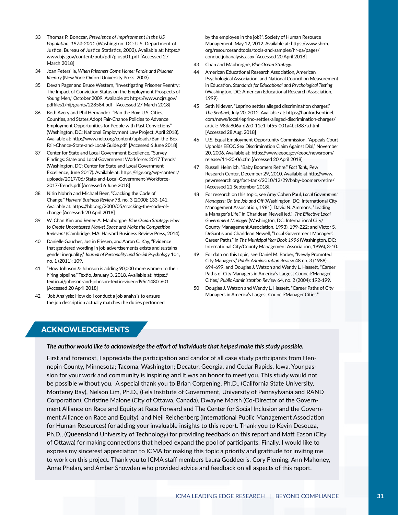- 33 Thomas P. Bonczar, *Prevalence of Imprisonment in the US Population, 1974-2001* (Washington, DC: U.S. Department of Justice, Bureau of Justice Statistics, 2003). Available at: https:// www.bjs.gov/content/pub/pdf/piusp01.pdf [Accessed 27 March 2018]
- 34 Joan Petersilia, *When Prisoners Come Home: Parole and Prisoner Reentry* (New York: Oxford University Press, 2003).
- 35 Devah Pager and Bruce Western, "Investigating Prisoner Reentry: The Impact of Conviction Status on the Employment Prospects of Young Men," October 2009. Available at: https://www.ncjrs.gov/ pdffiles1/nij/grants/228584.pdf [Accessed 27 March 2018]
- 36 Beth Avery and Phil Hernandez, "Ban the Box: U.S. Cities, Counties, and States Adopt Fair-Chance Policies to Advance Employment Opportunities for People with Past Convictions" (Washington, DC: National Employment Law Project, April 2018). Available at: http://www.nelp.org/content/uploads/Ban-the-Box-Fair-Chance-State-and-Local-Guide.pdf [Accessed 6 June 2018]
- 37 Center for State and Local Government Excellence, "Survey Findings: State and Local Government Workforce: 2017 Trends" (Washington, DC: Center for State and Local Government Excellence, June 2017). Available at: https://slge.org/wp-content/ uploads/2017/06/State-and-Local-Government-Workforce-2017-Trends.pdf [Accessed 6 June 2018]
- 38 Nitin Nohria and Michael Beer, "Cracking the Code of Change," *Harvard Business Review* 78, no. 3 (2000): 133-141. Available at: https://hbr.org/2000/05/cracking-the-code-ofchange [Accessed: 20 April 2018]
- 39 W. Chan Kim and Renee A. Mauborgne, *Blue Ocean Strategy: How to Create Uncontested Market Space and Make the Competition Irrelevant* (Cambridge, MA: Harvard Business Review Press, 2014).
- 40 Danielle Gaucher, Justin Friesen, and Aaron C. Kay, "Evidence that gendered wording in job advertisements exists and sustains gender inequality," *Journal of Personality and Social Psychology* 101, no. 1 (2011): 109.
- 41 "How Johnson & Johnson is adding 90,000 more women to their hiring pipeline," Textio, January 3, 2018. Available at: https:// textio.ai/johnson-and-johnson-textio-video-d95c1480c601 [Accessed 20 April 2018]
- 42 "Job Analysis: How do I conduct a job analysis to ensure the job description actually matches the duties performed

by the employee in the job?", Society of Human Resource Management, May 12, 2012. Available at: https://www.shrm. org/resourcesandtools/tools-and-samples/hr-qa/pages/ conductjobanalysis.aspx [Accessed 20 April 2018]

- 43 Chan and Mauborgne, *Blue Ocean Strategy*.
- 44 American Educational Research Association, American Psychological Association, and National Council on Measurement in Education, *Standards for Educational and Psychological Testing* (Washington, DC: American Educational Research Association, 1999).
- 45 Seth Nidever, "Leprino settles alleged discrimination charges," *The Sentinel*, July 20, 2012. Available at: https://hanfordsentinel. com/news/local/leprino-settles-alleged-discrimination-charges/ article\_98da806a-d2a0-11e1-bf55-001a4bcf887a.html [Accessed 28 Aug. 2018]
- 46 U.S. Equal Employment Opportunity Commission, "Appeals Court Upholds EEOC Sex Discrimination Claim Against Dial," November 20, 2006. Available at: https://www.eeoc.gov/eeoc/newsroom/ release/11-20-06.cfm [Accessed 20 April 2018]
- 47 Russell Heimlich, "Baby Boomers Retire," *Fact Tank*, Pew Research Center, December 29, 2010. Available at http://www. pewresearch.org/fact-tank/2010/12/29/baby-boomers-retire/ [Accessed 21 September 2018].
- 48 For research on this topic, see Amy Cohen Paul, *Local Government Managers: On the Job and Off* (Washington, DC: International City Management Association, 1981), David N. Ammons, "Leading a Manager's Life," in Charldean Newell (ed.), *The Effective Local Government Manager* (Washington, DC: International City/ County Management Association, 1993), 199-222; and Victor S. DeSantis and Charldean Newell, "Local Government Managers' Career Paths," in *The Municipal Year Book 1996* (Washington, DC: International City/County Management Association, 1996), 3-10.
- 49 For data on this topic, see Daniel M. Barber, "Newly Promoted City Managers," *Public Administration Review* 48 no. 3 (1988): 694-699, and Douglas J. Watson and Wendy L. Hassett, "Career Paths of City Managers in America's Largest Council?Manager Cities," *Public Administration Review* 64, no. 2 (2004): 192-199.
- 50 Douglas J. Watson and Wendy L. Hassett, "Career Paths of City Managers in America's Largest Council?Manager Cities."

#### ACKNOWLEDGEMENTS

#### *The author would like to acknowledge the effort of individuals that helped make this study possible.*

First and foremost, I appreciate the participation and candor of all case study participants from Hennepin County, Minnesota; Tacoma, Washington; Decatur, Georgia, and Cedar Rapids, Iowa. Your passion for your work and community is inspiring and it was an honor to meet you. This study would not be possible without you. A special thank you to Brian Corpening, Ph.D., (California State University, Monterey Bay), Nelson Lim, Ph.D., (Fels Institute of Government, University of Pennsylvania and RAND Corporation), Christine Malone (City of Ottawa, Canada), Dwayne Marsh (Co-Director of the Government Alliance on Race and Equity at Race Forward and The Center for Social Inclusion and the Government Alliance on Race and Equity), and Neil Reichenberg (International Public Management Association for Human Resources) for adding your invaluable insights to this report. Thank you to Kevin Desouza, Ph.D., (Queensland University of Technology) for providing feedback on this report and Matt Eason (City of Ottawa) for making connections that helped expand the pool of participants. Finally, I would like to express my sincerest appreciation to ICMA for making this topic a priority and gratitude for inviting me to work on this project. Thank you to ICMA staff members Laura Goddeeris, Cory Fleming, Ann Mahoney, Anne Phelan, and Amber Snowden who provided advice and feedback on all aspects of this report.